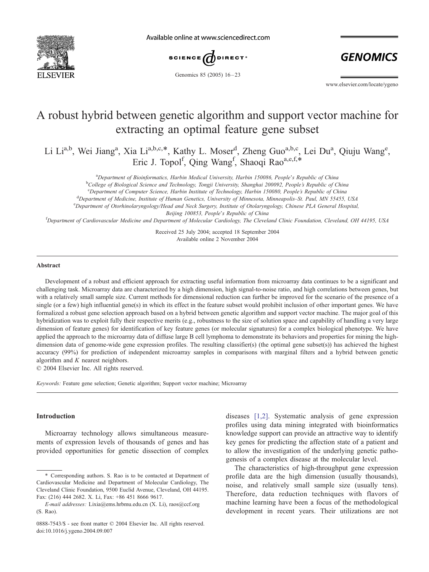

Available online at www.sciencedirect.com



Genomics 85 (2005) 16-23

**GENOMICS** 

www.elsevier.com/locate/ygeno

# A robust hybrid between genetic algorithm and support vector machine for extracting an optimal feature gene subset

Li Li<sup>a,b</sup>, Wei Jiang<sup>a</sup>, Xia Li<sup>a,b,c,\*</sup>, Kathy L. Moser<sup>d</sup>, Zheng Guo<sup>a,b,c</sup>, Lei Du<sup>a</sup>, Qiuju Wang<sup>e</sup>, Eric J. Topol<sup>f</sup>, Qing Wang<sup>f</sup>, Shaoqi Rao<sup>a,e,f,\*</sup>

<sup>a</sup>Department of Bioinformatics, Harbin Medical University, Harbin 150086, People's Republic of China

<sup>b</sup>College of Biological Science and Technology, Tongji University, Shanghai 200092, People's Republic of China

<sup>c</sup>Department of Computer Science, Harbin Institute of Technology, Harbin 150080, People's Republic of China<br><sup>d</sup>Department of Medicine, Institute of Human Genetics, University of Minnesota Minnesonalis St. Paul, MN 554555

<sup>d</sup>Department of Medicine, Institute of Human Genetics, University of Minnesota, Minneapolis-St. Paul, MN 55455, USA

Department of Otorhinolaryngology/Head and Neck Surgery, Institute of Otolaryngology, Chinese PLA General Hospital,

Beijing 100853, People's Republic of China<br><sup>f</sup>Department of Cardiovascular Medicine and Department of Molecular Cardiology, The Cleveland Clinic Foundation, Cleveland, OH 44195, USA

Received 25 July 2004; accepted 18 September 2004 Available online 2 November 2004

#### Abstract

Development of a robust and efficient approach for extracting useful information from microarray data continues to be a significant and challenging task. Microarray data are characterized by a high dimension, high signal-to-noise ratio, and high correlations between genes, but with a relatively small sample size. Current methods for dimensional reduction can further be improved for the scenario of the presence of a single (or a few) high influential gene(s) in which its effect in the feature subset would prohibit inclusion of other important genes. We have formalized a robust gene selection approach based on a hybrid between genetic algorithm and support vector machine. The major goal of this hybridization was to exploit fully their respective merits (e.g., robustness to the size of solution space and capability of handling a very large dimension of feature genes) for identification of key feature genes (or molecular signatures) for a complex biological phenotype. We have applied the approach to the microarray data of diffuse large B cell lymphoma to demonstrate its behaviors and properties for mining the highdimension data of genome-wide gene expression profiles. The resulting classifier(s) (the optimal gene subset(s)) has achieved the highest accuracy (99%) for prediction of independent microarray samples in comparisons with marginal filters and a hybrid between genetic algorithm and  $K$  nearest neighbors.

 $© 2004 Elsevier Inc. All rights reserved.$ 

Keywords: Feature gene selection; Genetic algorithm; Support vector machine; Microarray

## Introduction

Microarray technology allows simultaneous measurements of expression levels of thousands of genes and has provided opportunities for genetic dissection of complex diseases [\[1,2\].](#page-6-0) Systematic analysis of gene expression profiles using data mining integrated with bioinformatics knowledge support can provide an attractive way to identify key genes for predicting the affection state of a patient and to allow the investigation of the underlying genetic pathogenesis of a complex disease at the molecular level.

The characteristics of high-throughput gene expression profile data are the high dimension (usually thousands), noise, and relatively small sample size (usually tens). Therefore, data reduction techniques with flavors of machine learning have been a focus of the methodological development in recent years. Their utilizations are not

<sup>\*</sup> Corresponding authors. S. Rao is to be contacted at Department of Cardiovascular Medicine and Department of Molecular Cardiology, The Cleveland Clinic Foundation, 9500 Euclid Avenue, Cleveland, OH 44195. Fax: (216) 444 2682. X. Li, Fax: +86 451 8666 9617.

E-mail addresses: Lixia@ems.hrbmu.edu.cn (X. Li), raos@ccf.org (S. Rao).

<sup>0888-7543/\$ -</sup> see front matter © 2004 Elsevier Inc. All rights reserved. doi:10.1016/j.ygeno.2004.09.007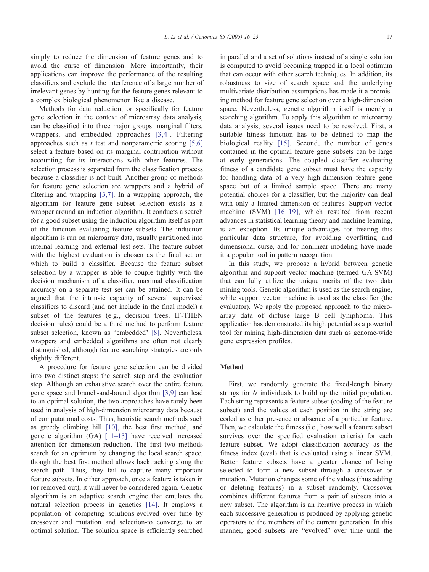simply to reduce the dimension of feature genes and to avoid the curse of dimension. More importantly, their applications can improve the performance of the resulting classifiers and exclude the interference of a large number of irrelevant genes by hunting for the feature genes relevant to a complex biological phenomenon like a disease.

Methods for data reduction, or specifically for feature gene selection in the context of microarray data analysis, can be classified into three major groups: marginal filters, wrappers, and embedded approaches [\[3,4\].](#page-6-0) Filtering approaches such as t test and nonparametric scoring  $[5,6]$ select a feature based on its marginal contribution without accounting for its interactions with other features. The selection process is separated from the classification process because a classifier is not built. Another group of methods for feature gene selection are wrappers and a hybrid of filtering and wrapping [\[3,7\].](#page-6-0) In a wrapping approach, the algorithm for feature gene subset selection exists as a wrapper around an induction algorithm. It conducts a search for a good subset using the induction algorithm itself as part of the function evaluating feature subsets. The induction algorithm is run on microarray data, usually partitioned into internal learning and external test sets. The feature subset with the highest evaluation is chosen as the final set on which to build a classifier. Because the feature subset selection by a wrapper is able to couple tightly with the decision mechanism of a classifier, maximal classification accuracy on a separate test set can be attained. It can be argued that the intrinsic capacity of several supervised classifiers to discard (and not include in the final model) a subset of the features (e.g., decision trees, IF-THEN decision rules) could be a third method to perform feature subset selection, known as "embedded" [\[8\].](#page-6-0) Nevertheless, wrappers and embedded algorithms are often not clearly distinguished, although feature searching strategies are only slightly different.

A procedure for feature gene selection can be divided into two distinct steps: the search step and the evaluation step. Although an exhaustive search over the entire feature gene space and branch-and-bound algorithm [\[3,9\]](#page-6-0) can lead to an optimal solution, the two approaches have rarely been used in analysis of high-dimension microarray data because of computational costs. Thus, heuristic search methods such as greedy climbing hill [\[10\],](#page-6-0) the best first method, and genetic algorithm (GA) [\[11–13\]](#page-6-0) have received increased attention for dimension reduction. The first two methods search for an optimum by changing the local search space, though the best first method allows backtracking along the search path. Thus, they fail to capture many important feature subsets. In either approach, once a feature is taken in (or removed out), it will never be considered again. Genetic algorithm is an adaptive search engine that emulates the natural selection process in genetics [\[14\].](#page-6-0) It employs a population of competing solutions-evolved over time by crossover and mutation and selection-to converge to an optimal solution. The solution space is efficiently searched

in parallel and a set of solutions instead of a single solution is computed to avoid becoming trapped in a local optimum that can occur with other search techniques. In addition, its robustness to size of search space and the underlying multivariate distribution assumptions has made it a promising method for feature gene selection over a high-dimension space. Nevertheless, genetic algorithm itself is merely a searching algorithm. To apply this algorithm to microarray data analysis, several issues need to be resolved. First, a suitable fitness function has to be defined to map the biological reality [\[15\].](#page-7-0) Second, the number of genes contained in the optimal feature gene subsets can be large at early generations. The coupled classifier evaluating fitness of a candidate gene subset must have the capacity for handling data of a very high-dimension feature gene space but of a limited sample space. There are many potential choices for a classifier, but the majority can deal with only a limited dimension of features. Support vector machine (SVM) [\[16–19\],](#page-7-0) which resulted from recent advances in statistical learning theory and machine learning, is an exception. Its unique advantages for treating this particular data structure, for avoiding overfitting and dimensional curse, and for nonlinear modeling have made it a popular tool in pattern recognition.

In this study, we propose a hybrid between genetic algorithm and support vector machine (termed GA-SVM) that can fully utilize the unique merits of the two data mining tools. Genetic algorithm is used as the search engine, while support vector machine is used as the classifier (the evaluator). We apply the proposed approach to the microarray data of diffuse large B cell lymphoma. This application has demonstrated its high potential as a powerful tool for mining high-dimension data such as genome-wide gene expression profiles.

## **Method**

First, we randomly generate the fixed-length binary strings for N individuals to build up the initial population. Each string represents a feature subset (coding of the feature subset) and the values at each position in the string are coded as either presence or absence of a particular feature. Then, we calculate the fitness (i.e., how well a feature subset survives over the specified evaluation criteria) for each feature subset. We adopt classification accuracy as the fitness index (eval) that is evaluated using a linear SVM. Better feature subsets have a greater chance of being selected to form a new subset through a crossover or mutation. Mutation changes some of the values (thus adding or deleting features) in a subset randomly. Crossover combines different features from a pair of subsets into a new subset. The algorithm is an iterative process in which each successive generation is produced by applying genetic operators to the members of the current generation. In this manner, good subsets are "evolved" over time until the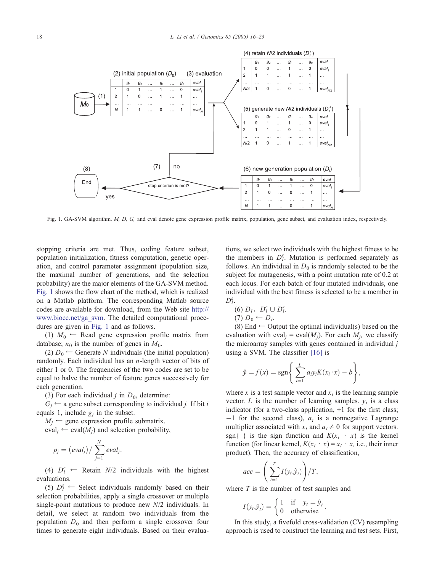

Fig. 1. GA-SVM algorithm. M, D, G, and eval denote gene expression profile matrix, population, gene subset, and evaluation index, respectively.

stopping criteria are met. Thus, coding feature subset, population initialization, fitness computation, genetic operation, and control parameter assignment (population size, the maximal number of generations, and the selection probability) are the major elements of the GA-SVM method. Fig. 1 shows the flow chart of the method, which is realized on a Matlab platform. The corresponding Matlab source codes are available for download, from the Web site [http://]( http:\\www.biocc.net\ga%1Esvm ) www.biocc.net/ga\_svm. The detailed computational procedures are given in Fig. 1 and as follows.

(1)  $M_0 \leftarrow$  Read gene expression profile matrix from database;  $n_0$  is the number of genes in  $M_0$ .

(2)  $D_0 \leftarrow$  Generate N individuals (the initial population) randomly. Each individual has an  $n$ -length vector of bits of either 1 or 0. The frequencies of the two codes are set to be equal to halve the number of feature genes successively for each generation.

(3) For each individual *j* in  $D_0$ , determine:

 $G_i \leftarrow$  a gene subset corresponding to individual *j*. If bit *i* equals 1, include  $g_i$  in the subset.

 $M_i \leftarrow$  gene expression profile submatrix.

 $eval_i \leftarrow eval(M_i)$  and selection probability,

$$
p_j = (eval_j) / \sum_{j=1}^N eval_j.
$$

(4)  $D_l^r \leftarrow$  Retain  $N/2$  individuals with the highest evaluations.

(5)  $D_l^s$   $\leftarrow$  Select individuals randomly based on their selection probabilities, apply a single crossover or multiple single-point mutations to produce new N/2 individuals. In detail, we select at random two individuals from the population  $D_0$  and then perform a single crossover four times to generate eight individuals. Based on their evaluations, we select two individuals with the highest fitness to be the members in  $D_l^s$ . Mutation is performed separately as follows. An individual in  $D_0$  is randomly selected to be the subject for mutagenesis, with a point mutation rate of 0.2 at each locus. For each batch of four mutated individuals, one individual with the best fitness is selected to be a member in  $D_l^s$ .

$$
(6) D_l \leftarrow D_l^r \cup D_l^s
$$
  

$$
(7) D_0 \leftarrow D_l.
$$

.

(8) End  $\leftarrow$  Output the optimal individual(s) based on the evaluation with eval<sub>i</sub> = eval( $M_i$ ). For each  $M_i$ , we classify the microarray samples with genes contained in individual  $j$ using a SVM. The classifier [\[16\]](#page-7-0) is

$$
\hat{y} = f(x) = \operatorname{sgn}\left\{\sum_{i=1}^{L} a_i y_i K(x_i \cdot x) - b\right\},\,
$$

where x is a test sample vector and  $x_i$  is the learning sample vector. L is the number of learning samples.  $y_i$  is a class indicator (for a two-class application, +1 for the first class;  $-1$  for the second class),  $a_i$  is a nonnegative Lagrange multiplier associated with  $x_i$  and  $a_i \neq 0$  for support vectors. sgn{ } is the sign function and  $K(x_i \cdot x)$  is the kernel function (for linear kernel,  $K(x_i \cdot x) = x_i \cdot x$ , i.e., their inner product). Then, the accuracy of classification,

$$
acc = \left(\sum_{t=1}^{T} I(y_t, \hat{y}_t)\right) / T,
$$

where T is the number of test samples and

$$
I(y_t, \hat{y}_t) = \begin{cases} 1 & \text{if } y_t = \hat{y}_t \\ 0 & \text{otherwise} \end{cases}.
$$

In this study, a fivefold cross-validation (CV) resampling approach is used to construct the learning and test sets. First,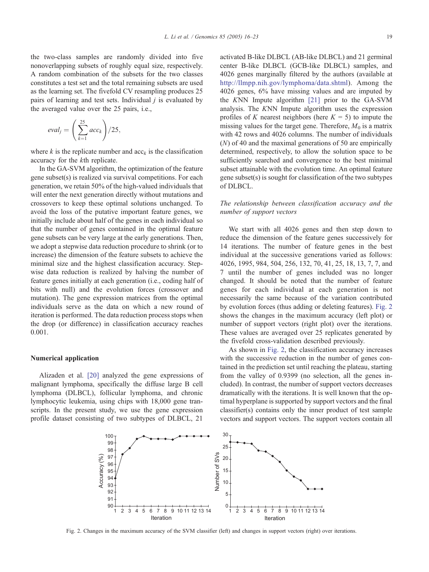the two-class samples are randomly divided into five nonoverlapping subsets of roughly equal size, respectively. A random combination of the subsets for the two classes constitutes a test set and the total remaining subsets are used as the learning set. The fivefold CV resampling produces 25 pairs of learning and test sets. Individual  $j$  is evaluated by the averaged value over the 25 pairs, i.e.,

$$
eval_j = \left(\sum_{k=1}^{25} acc_k\right)/25,
$$

where k is the replicate number and  $acc<sub>k</sub>$  is the classification accuracy for the kth replicate.

In the GA-SVM algorithm, the optimization of the feature gene subset(s) is realized via survival competitions. For each generation, we retain 50% of the high-valued individuals that will enter the next generation directly without mutations and crossovers to keep these optimal solutions unchanged. To avoid the loss of the putative important feature genes, we initially include about half of the genes in each individual so that the number of genes contained in the optimal feature gene subsets can be very large at the early generations. Then, we adopt a stepwise data reduction procedure to shrink (or to increase) the dimension of the feature subsets to achieve the minimal size and the highest classification accuracy. Stepwise data reduction is realized by halving the number of feature genes initially at each generation (i.e., coding half of bits with null) and the evolution forces (crossover and mutation). The gene expression matrices from the optimal individuals serve as the data on which a new round of iteration is performed. The data reduction process stops when the drop (or difference) in classification accuracy reaches 0.001.

### Numerical application

Alizaden et al. [\[20\]](#page-7-0) analyzed the gene expressions of malignant lymphoma, specifically the diffuse large B cell lymphoma (DLBCL), follicular lymphoma, and chronic lymphocytic leukemia, using chips with 18,000 gene transcripts. In the present study, we use the gene expression profile dataset consisting of two subtypes of DLBCL, 21

activated B-like DLBCL (AB-like DLBCL) and 21 germinal center B-like DLBCL (GCB-like DLBCL) samples, and 4026 genes marginally filtered by the authors (available at [http://llmpp.nih.gov/lymphoma/data.shtml\)]( http:\\llmpp.nih.gov\lymphoma\data.shtml ). Among the 4026 genes, 6% have missing values and are imputed by the KNN Impute algorithm [\[21\]](#page-7-0) prior to the GA-SVM analysis. The KNN Impute algorithm uses the expression profiles of K nearest neighbors (here  $K = 5$ ) to impute the missing values for the target gene. Therefore,  $M_0$  is a matrix with 42 rows and 4026 columns. The number of individuals (N) of 40 and the maximal generations of 50 are empirically determined, respectively, to allow the solution space to be sufficiently searched and convergence to the best minimal subset attainable with the evolution time. An optimal feature gene subset(s) is sought for classification of the two subtypes of DLBCL.

# The relationship between classification accuracy and the number of support vectors

We start with all 4026 genes and then step down to reduce the dimension of the feature genes successively for 14 iterations. The number of feature genes in the best individual at the successive generations varied as follows: 4026, 1995, 984, 504, 256, 132, 70, 41, 25, 18, 13, 7, 7, and 7 until the number of genes included was no longer changed. It should be noted that the number of feature genes for each individual at each generation is not necessarily the same because of the variation contributed by evolution forces (thus adding or deleting features). Fig. 2 shows the changes in the maximum accuracy (left plot) or number of support vectors (right plot) over the iterations. These values are averaged over 25 replicates generated by the fivefold cross-validation described previously.

As shown in Fig. 2, the classification accuracy increases with the successive reduction in the number of genes contained in the prediction set until reaching the plateau, starting from the valley of 0.9399 (no selection, all the genes included). In contrast, the number of support vectors decreases dramatically with the iterations. It is well known that the optimal hyperplane is supported by support vectors and the final classifier(s) contains only the inner product of test sample vectors and support vectors. The support vectors contain all



Fig. 2. Changes in the maximum accuracy of the SVM classifier (left) and changes in support vectors (right) over iterations.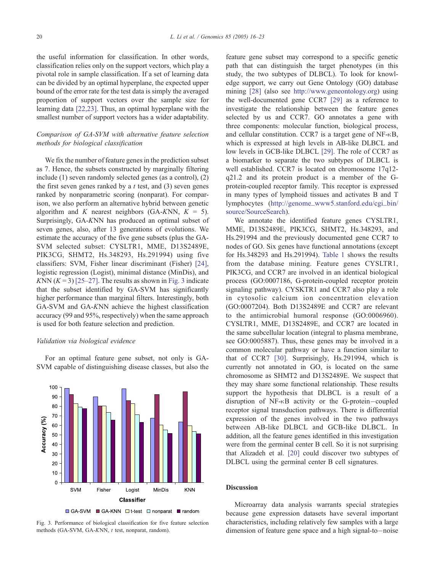the useful information for classification. In other words, classification relies only on the support vectors, which play a pivotal role in sample classification. If a set of learning data can be divided by an optimal hyperplane, the expected upper bound of the error rate for the test data is simply the averaged proportion of support vectors over the sample size for learning data [\[22,23\].](#page-7-0) Thus, an optimal hyperplane with the smallest number of support vectors has a wider adaptability.

# Comparison of GA-SVM with alternative feature selection methods for biological classification

We fix the number of feature genes in the prediction subset as 7. Hence, the subsets constructed by marginally filtering include (1) seven randomly selected genes (as a control), (2) the first seven genes ranked by a  $t$  test, and  $(3)$  seven genes ranked by nonparametric scoring (nonparat). For comparison, we also perform an alternative hybrid between genetic algorithm and K nearest neighbors (GA-KNN,  $K = 5$ ). Surprisingly, GA-KNN has produced an optimal subset of seven genes, also, after 13 generations of evolutions. We estimate the accuracy of the five gene subsets (plus the GA-SVM selected subset: CYSLTR1, MME, D13S2489E, PIK3CG, SHMT2, Hs.348293, Hs.291994) using five classifiers: SVM, Fisher linear discriminant (Fisher) [\[24\],](#page-7-0) logistic regression (Logist), minimal distance (MinDis), and KNN  $(K = 3)$  [\[25–27\].](#page-7-0) The results as shown in Fig. 3 indicate that the subset identified by GA-SVM has significantly higher performance than marginal filters. Interestingly, both GA-SVM and GA-KNN achieve the highest classification accuracy (99 and 95%, respectively) when the same approach is used for both feature selection and prediction.

### Validation via biological evidence

For an optimal feature gene subset, not only is GA-SVM capable of distinguishing disease classes, but also the



Fig. 3. Performance of biological classification for five feature selection methods (GA-SVM, GA-KNN, t test, nonparat, random).

feature gene subset may correspond to a specific genetic path that can distinguish the target phenotypes (in this study, the two subtypes of DLBCL). To look for knowledge support, we carry out Gene Ontology (GO) database mining [\[28\]](#page-7-0) (also see [http://www.geneontology.org\)]( http:\\www.geneontology.org ) using the well-documented gene CCR7 [\[29\]](#page-7-0) as a reference to investigate the relationship between the feature genes selected by us and CCR7. GO annotates a gene with three components: molecular function, biological process, and cellular constitution. CCR7 is a target gene of  $NF-<sub>K</sub>B$ , which is expressed at high levels in AB-like DLBCL and low levels in GCB-like DLBCL [\[29\].](#page-7-0) The role of CCR7 as a biomarker to separate the two subtypes of DLBCL is well established. CCR7 is located on chromosome 17q12 q21.2 and its protein product is a member of the Gprotein-coupled receptor family. This receptor is expressed in many types of lymphoid tissues and activates B and T lymphocytes ([http://genome\\_www5.stanford.edu/cgi\\_bin/]( http:\\genome%1Ewww5.stanford.edu\cgi%1Ebin\source\SourceSearch ) source/SourceSearch).

We annotate the identified feature genes CYSLTR1, MME, D13S2489E, PIK3CG, SHMT2, Hs.348293, and Hs.291994 and the previously documented gene CCR7 to nodes of GO. Six genes have functional annotations (except for Hs.348293 and Hs.291994). [Table 1](#page-5-0) shows the results from the database mining. Feature genes CYSLTR1, PIK3CG, and CCR7 are involved in an identical biological process (GO:0007186, G-protein-coupled receptor protein signaling pathway). CYSKTR1 and CCR7 also play a role in cytosolic calcium ion concentration elevation (GO:0007204). Both D13S2489E and CCR7 are relevant to the antimicrobial humoral response (GO:0006960). CYSLTR1, MME, D13S2489E, and CCR7 are located in the same subcellular location (integral to plasma membrane, see GO:0005887). Thus, these genes may be involved in a common molecular pathway or have a function similar to that of CCR7 [\[30\].](#page-7-0) Surprisingly, Hs.291994, which is currently not annotated in GO, is located on the same chromosome as SHMT2 and D13S2489E. We suspect that they may share some functional relationship. These results support the hypothesis that DLBCL is a result of a disruption of NF- $\kappa$ B activity or the G-protein-coupled receptor signal transduction pathways. There is differential expression of the genes involved in the two pathways between AB-like DLBCL and GCB-like DLBCL. In addition, all the feature genes identified in this investigation were from the germinal center B cell. So it is not surprising that Alizadeh et al. [\[20\]](#page-7-0) could discover two subtypes of DLBCL using the germinal center B cell signatures.

#### **Discussion**

Microarray data analysis warrants special strategies because gene expression datasets have several important characteristics, including relatively few samples with a large dimension of feature gene space and a high signal-to $-$ noise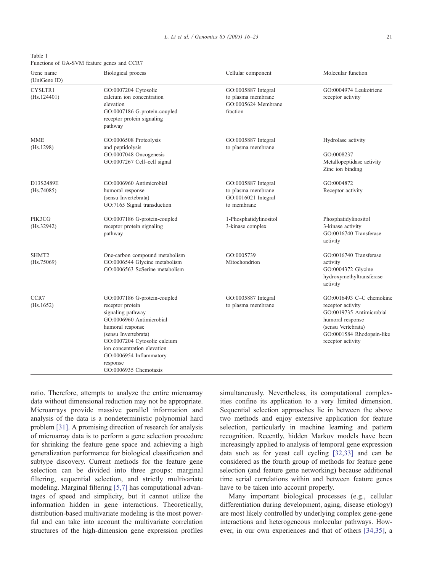<span id="page-5-0"></span>Table 1 Functions of GA-SVM feature genes and CCR7

| Gene name<br>(UniGene ID)       | <b>Biological</b> process                                                                                                                                                                                                                                                    | Cellular component                                                              | Molecular function                                                                                                                                                    |
|---------------------------------|------------------------------------------------------------------------------------------------------------------------------------------------------------------------------------------------------------------------------------------------------------------------------|---------------------------------------------------------------------------------|-----------------------------------------------------------------------------------------------------------------------------------------------------------------------|
| <b>CYSLTR1</b><br>(Hs.124401)   | GO:0007204 Cytosolic<br>calcium ion concentration<br>elevation<br>GO:0007186 G-protein-coupled<br>receptor protein signaling<br>pathway                                                                                                                                      | GO:0005887 Integral<br>to plasma membrane<br>GO:0005624 Membrane<br>fraction    | GO:0004974 Leukotriene<br>receptor activity                                                                                                                           |
| <b>MME</b><br>(Hs.1298)         | GO:0006508 Proteolysis<br>and peptidolysis<br>GO:0007048 Oncogenesis<br>GO:0007267 Cell-cell signal                                                                                                                                                                          | GO:0005887 Integral<br>to plasma membrane                                       | Hydrolase activity<br>GO:0008237<br>Metallopeptidase activity<br>Zinc ion binding                                                                                     |
| D13S2489E<br>(Hs.74085)         | GO:0006960 Antimicrobial<br>humoral response<br>(sensu Invertebrata)<br>GO:7165 Signal transduction                                                                                                                                                                          | GO:0005887 Integral<br>to plasma membrane<br>GO:0016021 Integral<br>to membrane | GO:0004872<br>Receptor activity                                                                                                                                       |
| PIK3CG<br>(Hs.32942)            | GO:0007186 G-protein-coupled<br>receptor protein signaling<br>pathway                                                                                                                                                                                                        | 1-Phosphatidylinositol<br>3-kinase complex                                      | Phosphatidylinositol<br>3-kinase activity<br>GO:0016740 Transferase<br>activity                                                                                       |
| SHMT <sub>2</sub><br>(Hs.75069) | One-carbon compound metabolism<br>GO:0006544 Glycine metabolism<br>GO:0006563 ScSerine metabolism                                                                                                                                                                            | GO:0005739<br>Mitochondrion                                                     | GO:0016740 Transferase<br>activity<br>GO:0004372 Glycine<br>hydroxymethyltransferase<br>activity                                                                      |
| CCR7<br>(Hs.1652)               | GO:0007186 G-protein-coupled<br>receptor protein<br>signaling pathway<br>GO:0006960 Antimicrobial<br>humoral response<br>(sensu Invertebrata)<br>GO:0007204 Cytosolic calcium<br>ion concentration elevation<br>GO:0006954 Inflammatory<br>response<br>GO:0006935 Chemotaxis | GO:0005887 Integral<br>to plasma membrane                                       | GO:0016493 C-C chemokine<br>receptor activity<br>GO:0019735 Antimicrobial<br>humoral response<br>(sensu Vertebrata)<br>GO:0001584 Rhodopsin-like<br>receptor activity |

ratio. Therefore, attempts to analyze the entire microarray data without dimensional reduction may not be appropriate. Microarrays provide massive parallel information and analysis of the data is a nondeterministic polynomial hard problem [\[31\].](#page-7-0) A promising direction of research for analysis of microarray data is to perform a gene selection procedure for shrinking the feature gene space and achieving a high generalization performance for biological classification and subtype discovery. Current methods for the feature gene selection can be divided into three groups: marginal filtering, sequential selection, and strictly multivariate modeling. Marginal filtering [\[5,7\]](#page-6-0) has computational advantages of speed and simplicity, but it cannot utilize the information hidden in gene interactions. Theoretically, distribution-based multivariate modeling is the most powerful and can take into account the multivariate correlation structures of the high-dimension gene expression profiles

simultaneously. Nevertheless, its computational complexities confine its application to a very limited dimension. Sequential selection approaches lie in between the above two methods and enjoy extensive application for feature selection, particularly in machine learning and pattern recognition. Recently, hidden Markov models have been increasingly applied to analysis of temporal gene expression data such as for yeast cell cycling [\[32,33\]](#page-7-0) and can be considered as the fourth group of methods for feature gene selection (and feature gene networking) because additional time serial correlations within and between feature genes have to be taken into account properly.

Many important biological processes (e.g., cellular differentiation during development, aging, disease etiology) are most likely controlled by underlying complex gene-gene interactions and heterogeneous molecular pathways. However, in our own experiences and that of others [\[34,35\],](#page-7-0) a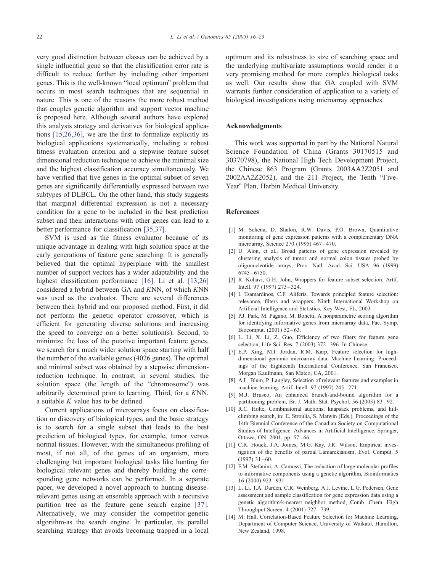<span id="page-6-0"></span>very good distinction between classes can be achieved by a single influential gene so that the classification error rate is difficult to reduce further by including other important genes. This is the well-known "local optimum" problem that occurs in most search techniques that are sequential in nature. This is one of the reasons the more robust method that couples genetic algorithm and support vector machine is proposed here. Although several authors have explored this analysis strategy and derivatives for biological applications [\[15,26,36\],](#page-7-0) we are the first to formalize explicitly its biological applications systematically, including a robust fitness evaluation criterion and a stepwise feature subset dimensional reduction technique to achieve the minimal size and the highest classification accuracy simultaneously. We have verified that five genes in the optimal subset of seven genes are significantly differentially expressed between two subtypes of DLBCL. On the other hand, this study suggests that marginal differential expression is not a necessary condition for a gene to be included in the best prediction subset and their interactions with other genes can lead to a better performance for classification [\[35,37\].](#page-7-0)

SVM is used as the fitness evaluator because of its unique advantage in dealing with high solution space at the early generations of feature gene searching. It is generally believed that the optimal hyperplane with the smallest number of support vectors has a wider adaptability and the highest classification performance [\[16\].](#page-7-0) Li et al. [13,26] considered a hybrid between GA and KNN, of which KNN was used as the evaluator. There are several differences between their hybrid and our proposed method. First, it did not perform the genetic operator crossover, which is efficient for generating diverse solutions and increasing the speed to converge on a better solution(s). Second, to minimize the loss of the putative important feature genes, we search for a much wider solution space starting with half the number of the available genes (4026 genes). The optimal and minimal subset was obtained by a stepwise dimensionreduction technique. In contrast, in several studies, the solution space (the length of the "chromosome") was arbitrarily determined prior to learning. Third, for a KNN, a suitable  $K$  value has to be defined.

Current applications of microarrays focus on classification or discovery of biological types, and the basic strategy is to search for a single subset that leads to the best prediction of biological types, for example, tumor versus normal tissues. However, with the simultaneous profiling of most, if not all, of the genes of an organism, more challenging but important biological tasks like hunting for biological relevant genes and thereby building the corresponding gene networks can be performed. In a separate paper, we developed a novel approach to hunting diseaserelevant genes using an ensemble approach with a recursive partition tree as the feature gene search engine [\[37\].](#page-7-0) Alternatively, we may consider the competitor-genetic algorithm-as the search engine. In particular, its parallel searching strategy that avoids becoming trapped in a local

optimum and its robustness to size of searching space and the underlying multivariate assumptions would render it a very promising method for more complex biological tasks as well. Our results show that GA coupled with SVM warrants further consideration of application to a variety of biological investigations using microarray approaches.

## Acknowledgments

This work was supported in part by the National Natural Science Foundation of China (Grants 30170515 and 30370798), the National High Tech Development Project, the Chinese 863 Program (Grants 2003AA2Z2051 and  $2002AA2Z2052$ ), and the  $211$  Project, the Tenth "Five-Year" Plan, Harbin Medical University.

## References

- [1] M. Schena, D. Shalon, R.W. Davis, P.O. Brown, Quantitative monitoring of gene expression patterns with a complementary DNA microarray, Science 270 (1995) 467 – 470.
- [2] U. Alon, et al., Broad patterns of gene expression revealed by clustering analysis of tumor and normal colon tissues probed by oligonucleotide arrays, Proc. Natl. Acad. Sci. USA 96 (1999) 6745 – 6750.
- [3] R. Kohavi, G.H. John, Wrappers for feature subset selection, Artif. Intell. 97 (1997) 273 – 324.
- [4] I. Tsamardinos, C.F. Aliferis, Towards principled feature selection: relevance, filters and wrappers, Ninth International Workshop on Artificial Intelligence and Statistics, Key West, FL, 2003.
- [5] P.J. Park, M. Pagano, M. Bonetti, A nonparametric scoring algorithm for identifying informative genes from microarray data, Pac. Symp. Biocomput. (2001) 52 – 63.
- [6] L. Li, X. Li, Z. Guo, Efficiency of two filters for feature gene selection, Life Sci. Res. 7 (2003) 372 – 396. In Chinese.
- [7] E.P. Xing, M.I. Jordan, R.M. Karp, Feature selection for highdimensional genomic microarray data, Machine Learning: Proceedings of the Eighteenth International Conference, San Francisco, Morgan Kaufmann, San Mateo, CA, 2001.
- [8] A.L. Blum, P. Langley, Selection of relevant features and examples in machine learning, Artif. Intell. 97 (1997) 245 – 271.
- [9] M.J. Brusco, An enhanced branch-and-bound algorithm for a partitioning problem, Br. J. Math. Stat. Psychol. 56 (2003) 83-92.
- [10] R.C. Holte, Combinatorial auctions, knapsack problems, and hillclimbing search, in: E. Stroulia, S. Matwin (Eds.), Proceedings of the 14th Biennial Conference of the Canadian Society on Computational Studies of Intelligence: Advances in Artificial Intelligence, Springer, Ottawa, ON, 2001, pp. 57-66.
- [11] C.R. Houck, J.A. Joines, M.G. Kay, J.R. Wilson, Empirical investigation of the benefits of partial Lamarckianism, Evol. Comput. 5  $(1997)$  31 – 60.
- [12] F.M. Stefanini, A. Camussi, The reduction of large molecular profiles to informative components using a genetic algorithm, Bioinformatics 16 (2000) 923 – 931.
- [13] L. Li, T.A. Darden, C.R. Weinberg, A.J. Levine, L.G. Pedersen, Gene assessment and sample classification for gene expression data using a genetic algorithm/k-nearest neighbor method, Comb. Chem. High Throughput Screen. 4 (2001) 727 – 739.
- [14] M. Hall, Correlation-Based Feature Selection for Machine Learning, Department of Computer Science, University of Waikato, Hamilton, New Zealand, 1998.